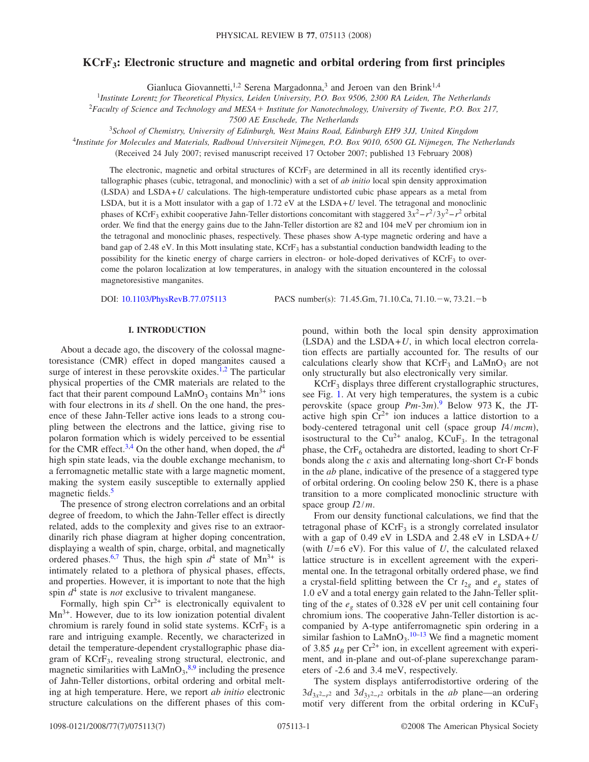# **KCrF3: Electronic structure and magnetic and orbital ordering from first principles**

Gianluca Giovannetti,<sup>1,2</sup> Serena Margadonna,<sup>3</sup> and Jeroen van den Brink<sup>1,4</sup>

<sup>1</sup>*Institute Lorentz for Theoretical Physics, Leiden University, P.O. Box 9506, 2300 RA Leiden, The Netherlands*

<sup>2</sup>*Faculty of Science and Technology and MESA Institute for Nanotechnology, University of Twente, P.O. Box 217,*

*7500 AE Enschede, The Netherlands*

3 *School of Chemistry, University of Edinburgh, West Mains Road, Edinburgh EH9 3JJ, United Kingdom*

<sup>4</sup>*Institute for Molecules and Materials, Radboud Universiteit Nijmegen, P.O. Box 9010, 6500 GL Nijmegen, The Netherlands*

(Received 24 July 2007; revised manuscript received 17 October 2007; published 13 February 2008)

The electronic, magnetic and orbital structures of  $KCFF<sub>3</sub>$  are determined in all its recently identified crystallographic phases (cubic, tetragonal, and monoclinic) with a set of *ab initio* local spin density approximation (LSDA) and LSDA+*U* calculations. The high-temperature undistorted cubic phase appears as a metal from LSDA, but it is a Mott insulator with a gap of 1.72 eV at the LSDA+*U* level. The tetragonal and monoclinic phases of KCrF3 exhibit cooperative Jahn-Teller distortions concomitant with staggered 3*x*2−*r*<sup>2</sup> /3*y*2−*r*<sup>2</sup> orbital order. We find that the energy gains due to the Jahn-Teller distortion are 82 and 104 meV per chromium ion in the tetragonal and monoclinic phases, respectively. These phases show A-type magnetic ordering and have a band gap of 2.48 eV. In this Mott insulating state, KCrF<sub>3</sub> has a substantial conduction bandwidth leading to the possibility for the kinetic energy of charge carriers in electron- or hole-doped derivatives of  $KCFF<sub>3</sub>$  to overcome the polaron localization at low temperatures, in analogy with the situation encountered in the colossal magnetoresistive manganites.

DOI: [10.1103/PhysRevB.77.075113](http://dx.doi.org/10.1103/PhysRevB.77.075113)

: 71.45.Gm, 71.10.Ca, 71.10.-w, 73.21.-b

#### **I. INTRODUCTION**

About a decade ago, the discovery of the colossal magnetoresistance (CMR) effect in doped manganites caused a surge of interest in these perovskite oxides.<sup>1[,2](#page-6-1)</sup> The particular physical properties of the CMR materials are related to the fact that their parent compound  $\text{LaMnO}_3$  contains  $\text{Mn}^{3+}$  ions with four electrons in its *d* shell. On the one hand, the presence of these Jahn-Teller active ions leads to a strong coupling between the electrons and the lattice, giving rise to polaron formation which is widely perceived to be essential for the CMR effect.<sup>3,[4](#page-6-3)</sup> On the other hand, when doped, the  $d^4$ high spin state leads, via the double exchange mechanism, to a ferromagnetic metallic state with a large magnetic moment, making the system easily susceptible to externally applied magnetic fields.<sup>5</sup>

The presence of strong electron correlations and an orbital degree of freedom, to which the Jahn-Teller effect is directly related, adds to the complexity and gives rise to an extraordinarily rich phase diagram at higher doping concentration, displaying a wealth of spin, charge, orbital, and magnetically ordered phases.<sup>6,[7](#page-6-6)</sup> Thus, the high spin  $d^4$  state of Mn<sup>3+</sup> is intimately related to a plethora of physical phases, effects, and properties. However, it is important to note that the high spin  $d<sup>4</sup>$  state is *not* exclusive to trivalent manganese.

Formally, high spin  $Cr^{2+}$  is electronically equivalent to  $Mn^{3+}$ . However, due to its low ionization potential divalent chromium is rarely found in solid state systems.  $KCFF<sub>3</sub>$  is a rare and intriguing example. Recently, we characterized in detail the temperature-dependent crystallographic phase diagram of KCrF3, revealing strong structural, electronic, and magnetic similarities with  $\text{LaMnO}_3$ ,<sup>[8,](#page-6-7)[9](#page-6-8)</sup> including the presence of Jahn-Teller distortions, orbital ordering and orbital melting at high temperature. Here, we report *ab initio* electronic structure calculations on the different phases of this compound, within both the local spin density approximation  $(LSDA)$  and the  $LSDA+U$ , in which local electron correlation effects are partially accounted for. The results of our calculations clearly show that  $KCF_3$  and LaMnO<sub>3</sub> are not only structurally but also electronically very similar.

 $KCF<sub>3</sub>$  displays three different crystallographic structures, see Fig. [1.](#page-1-0) At very high temperatures, the system is a cubic perovskite (space group *Pm*-3*m*).<sup>[9](#page-6-8)</sup> Below 973 K, the JTactive high spin  $Cr^{2+}$  ion induces a lattice distortion to a body-centered tetragonal unit cell (space group *I4/mcm*), isostructural to the  $Cu^{2+}$  analog,  $KCuF_3$ . In the tetragonal phase, the  $\text{CrF}_6$  octahedra are distorted, leading to short Cr-F bonds along the *c* axis and alternating long-short Cr-F bonds in the *ab* plane, indicative of the presence of a staggered type of orbital ordering. On cooling below 250 K, there is a phase transition to a more complicated monoclinic structure with space group *I*2/*m*.

From our density functional calculations, we find that the tetragonal phase of  $KCF_3$  is a strongly correlated insulator with a gap of 0.49 eV in LSDA and 2.48 eV in LSDA+*U* (with  $U=6$  eV). For this value of  $U$ , the calculated relaxed lattice structure is in excellent agreement with the experimental one. In the tetragonal orbitally ordered phase, we find a crystal-field splitting between the Cr  $t_{2g}$  and  $e_g$  states of 1.0 eV and a total energy gain related to the Jahn-Teller splitting of the  $e_{\varrho}$  states of 0.328 eV per unit cell containing four chromium ions. The cooperative Jahn-Teller distortion is accompanied by A-type antiferromagnetic spin ordering in a similar fashion to  $\text{LaMnO}_3$ .<sup>[10](#page-6-9)[–13](#page-6-10)</sup> We find a magnetic moment of 3.85  $\mu_B$  per Cr<sup>2+</sup> ion, in excellent agreement with experiment, and in-plane and out-of-plane superexchange parameters of -2.6 and 3.4 meV, respectively.

The system displays antiferrodistortive ordering of the  $3d_{3x^2-r^2}$  and  $3d_{3y^2-r^2}$  orbitals in the *ab* plane—an ordering motif very different from the orbital ordering in  $KCuF_3$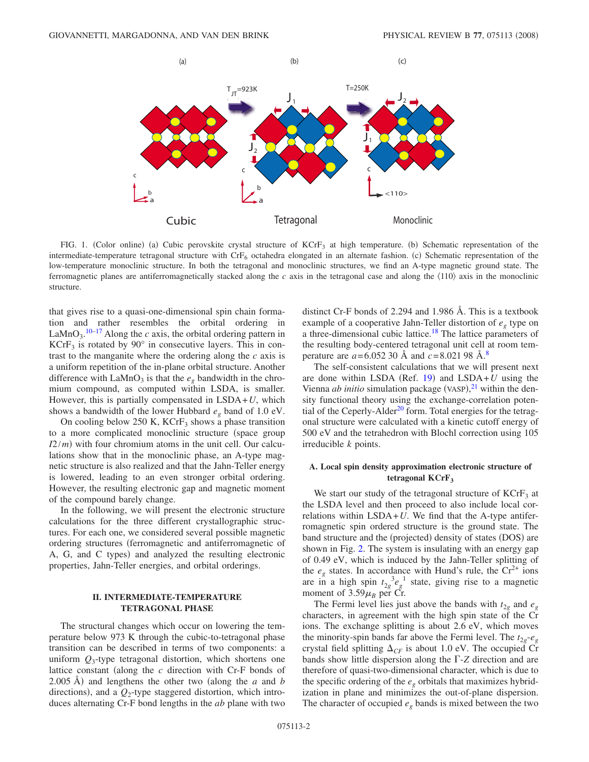<span id="page-1-0"></span>

FIG. 1. (Color online) (a) Cubic perovskite crystal structure of KCrF<sub>3</sub> at high temperature. (b) Schematic representation of the intermediate-temperature tetragonal structure with  $CrF_6$  octahedra elongated in an alternate fashion. (c) Schematic representation of the low-temperature monoclinic structure. In both the tetragonal and monoclinic structures, we find an A-type magnetic ground state. The ferromagnetic planes are antiferromagnetically stacked along the *c* axis in the tetragonal case and along the  $\langle 110 \rangle$  axis in the monoclinic structure.

that gives rise to a quasi-one-dimensional spin chain formation and rather resembles the orbital ordering in LaMnO<sub>3</sub>.<sup>[10](#page-6-9)[–17](#page-6-11)</sup> Along the *c* axis, the orbital ordering pattern in  $KCF<sub>3</sub>$  is rotated by 90 $^{\circ}$  in consecutive layers. This in contrast to the manganite where the ordering along the *c* axis is a uniform repetition of the in-plane orbital structure. Another difference with  $\text{LaMnO}_3$  is that the  $e_a$  bandwidth in the chromium compound, as computed within LSDA, is smaller. However, this is partially compensated in LSDA+*U*, which shows a bandwidth of the lower Hubbard  $e_g$  band of 1.0 eV.

On cooling below 250 K,  $KCrF<sub>3</sub>$  shows a phase transition to a more complicated monoclinic structure (space group  $I2/m$ ) with four chromium atoms in the unit cell. Our calculations show that in the monoclinic phase, an A-type magnetic structure is also realized and that the Jahn-Teller energy is lowered, leading to an even stronger orbital ordering. However, the resulting electronic gap and magnetic moment of the compound barely change.

In the following, we will present the electronic structure calculations for the three different crystallographic structures. For each one, we considered several possible magnetic ordering structures ferromagnetic and antiferromagnetic of A, G, and C types) and analyzed the resulting electronic properties, Jahn-Teller energies, and orbital orderings.

## **II. INTERMEDIATE-TEMPERATURE TETRAGONAL PHASE**

The structural changes which occur on lowering the temperature below 973 K through the cubic-to-tetragonal phase transition can be described in terms of two components: a uniform  $Q_3$ -type tetragonal distortion, which shortens one lattice constant (along the  $c$  direction with Cr-F bonds of 2.005 Å) and lengthens the other two (along the  $a$  and  $b$ directions), and a  $Q_2$ -type staggered distortion, which introduces alternating Cr-F bond lengths in the *ab* plane with two distinct Cr-F bonds of 2.294 and 1.986 Å. This is a textbook example of a cooperative Jahn-Teller distortion of  $e<sub>g</sub>$  type on a three-dimensional cubic lattice.<sup>18</sup> The lattice parameters of the resulting body-centered tetragonal unit cell at room temperature are  $a = 6.05230 \text{ Å}$  and  $c = 8.02198 \text{ Å}$ .<sup>8</sup>

The self-consistent calculations that we will present next are done within LSDA (Ref.  $19$ ) and LSDA+*U* using the Vienna *ab initio* simulation package  $(VASP)$ ,<sup>[21](#page-6-14)</sup> within the density functional theory using the exchange-correlation potential of the Ceperly-Alder<sup>20</sup> form. Total energies for the tetragonal structure were calculated with a kinetic cutoff energy of 500 eV and the tetrahedron with Blochl correction using 105 irreducible *k* points.

### **A. Local spin density approximation electronic structure of tetragonal KCrF3**

We start our study of the tetragonal structure of  $KCF_3$  at the LSDA level and then proceed to also include local correlations within  $LSDA+U$ . We find that the A-type antiferromagnetic spin ordered structure is the ground state. The band structure and the (projected) density of states (DOS) are shown in Fig. [2.](#page-2-0) The system is insulating with an energy gap of 0.49 eV, which is induced by the Jahn-Teller splitting of the  $e_g$  states. In accordance with Hund's rule, the  $Cr^{2+}$  ions are in a high spin  $t_{2g}^3 e_g^1$  state, giving rise to a magnetic moment of  $3.59\mu_B$  per Cr.

The Fermi level lies just above the bands with  $t_{2g}$  and  $e_g$ characters, in agreement with the high spin state of the Cr ions. The exchange splitting is about 2.6 eV, which moves the minority-spin bands far above the Fermi level. The  $t_{2g}$ - $e_{g}$ crystal field splitting  $\Delta_{CF}$  is about 1.0 eV. The occupied Cr bands show little dispersion along the  $\Gamma$ -*Z* direction and are therefore of quasi-two-dimensional character, which is due to the specific ordering of the  $e_g$  orbitals that maximizes hybridization in plane and minimizes the out-of-plane dispersion. The character of occupied  $e_g$  bands is mixed between the two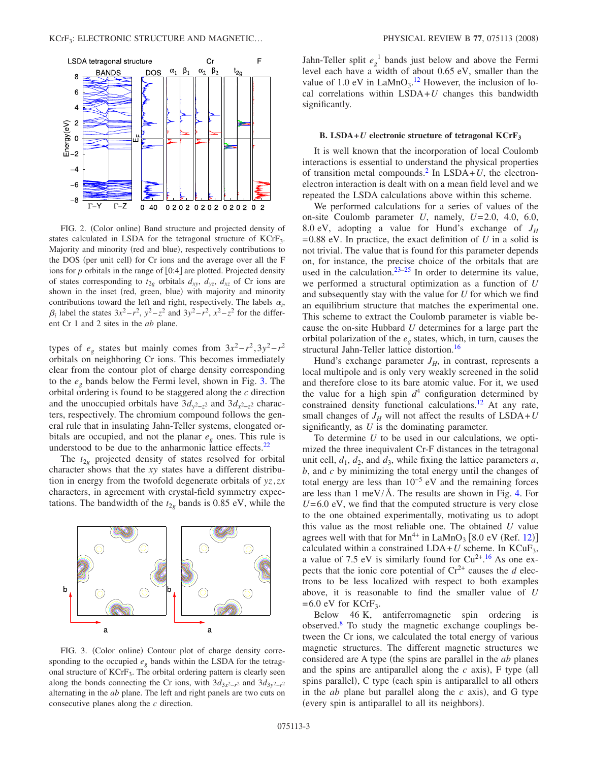<span id="page-2-0"></span>

FIG. 2. (Color online) Band structure and projected density of states calculated in LSDA for the tetragonal structure of KCrF<sub>3</sub>. Majority and minority (red and blue), respectively contributions to the DOS (per unit cell) for Cr ions and the average over all the F ions for  $p$  orbitals in the range of  $[0:4]$  are plotted. Projected density of states corresponding to  $t_{2g}$  orbitals  $d_{xy}$ ,  $d_{yz}$ ,  $d_{xz}$  of Cr ions are shown in the inset (red, green, blue) with majority and minority contributions toward the left and right, respectively. The labels  $\alpha_i$ ,  $\beta_i$  label the states  $3x^2 - r^2$ ,  $y^2 - z^2$  and  $3y^2 - r^2$ ,  $x^2 - z^2$  for the different Cr 1 and 2 sites in the *ab* plane.

types of  $e_g$  states but mainly comes from  $3x^2 - r^2$ ,  $3y^2 - r^2$ orbitals on neighboring Cr ions. This becomes immediately clear from the contour plot of charge density corresponding to the *eg* bands below the Fermi level, shown in Fig. [3.](#page-2-1) The orbital ordering is found to be staggered along the *c* direction and the unoccupied orbitals have  $3d_{y^2-z^2}$  and  $3d_{x^2-z^2}$  characters, respectively. The chromium compound follows the general rule that in insulating Jahn-Teller systems, elongated orbitals are occupied, and not the planar *eg* ones. This rule is understood to be due to the anharmonic lattice effects. $22$ 

The  $t_{2g}$  projected density of states resolved for orbital character shows that the *xy* states have a different distribution in energy from the twofold degenerate orbitals of *yz*,*zx* characters, in agreement with crystal-field symmetry expectations. The bandwidth of the  $t_{2g}$  bands is 0.85 eV, while the

<span id="page-2-1"></span>![](_page_2_Figure_5.jpeg)

FIG. 3. (Color online) Contour plot of charge density corresponding to the occupied  $e_g$  bands within the LSDA for the tetragonal structure of  $KCrF_3$ . The orbital ordering pattern is clearly seen along the bonds connecting the Cr ions, with  $3d_{3x^2-r^2}$  and  $3d_{3y^2-r^2}$ alternating in the *ab* plane. The left and right panels are two cuts on consecutive planes along the *c* direction.

Jahn-Teller split  $e_g^1$  bands just below and above the Fermi level each have a width of about 0.65 eV, smaller than the value of 1.0 eV in  $\text{LaMnO}_3$ .<sup>[12](#page-6-17)</sup> However, the inclusion of local correlations within  $LSDA+U$  changes this bandwidth significantly.

#### **B. LSDA+***U* **electronic structure of tetragonal KCrF3**

It is well known that the incorporation of local Coulomb interactions is essential to understand the physical properties of transition metal compounds.<sup>2</sup> In LSDA +  $U$ , the electronelectron interaction is dealt with on a mean field level and we repeated the LSDA calculations above within this scheme.

We performed calculations for a series of values of the on-site Coulomb parameter *U*, namely, *U*= 2.0, 4.0, 6.0, 8.0 eV, adopting a value for Hund's exchange of  $J_H$  $= 0.88$  eV. In practice, the exact definition of *U* in a solid is not trivial. The value that is found for this parameter depends on, for instance, the precise choice of the orbitals that are used in the calculation. $23-25$  In order to determine its value, we performed a structural optimization as a function of *U* and subsequently stay with the value for *U* for which we find an equilibrium structure that matches the experimental one. This scheme to extract the Coulomb parameter is viable because the on-site Hubbard *U* determines for a large part the orbital polarization of the  $e_{\varrho}$  states, which, in turn, causes the structural Jahn-Teller lattice distortion.<sup>16</sup>

Hund's exchange parameter  $J_H$ , in contrast, represents a local multipole and is only very weakly screened in the solid and therefore close to its bare atomic value. For it, we used the value for a high spin  $d^4$  configuration determined by constrained density functional calculations.<sup>12</sup> At any rate, small changes of  $J_H$  will not affect the results of  $LSDA+U$ significantly, as *U* is the dominating parameter.

To determine *U* to be used in our calculations, we optimized the three inequivalent Cr-F distances in the tetragonal unit cell,  $d_1$ ,  $d_2$ , and  $d_3$ , while fixing the lattice parameters  $a$ , *b*, and *c* by minimizing the total energy until the changes of total energy are less than  $10^{-5}$  eV and the remaining forces are less than 1 meV/ $\AA$ . The results are shown in Fig. [4.](#page-3-0) For  $U$ = 6.0 eV, we find that the computed structure is very close to the one obtained experimentally, motivating us to adopt this value as the most reliable one. The obtained *U* value agrees well with that for  $Mn^{4+}$  in LaMnO<sub>3</sub> [8.0 eV (Ref. [12](#page-6-17))] calculated within a constrained  $LDA+U$  scheme. In  $KCuF_3$ , a value of 7.5 eV is similarly found for  $Cu^{2+}$ .<sup>[16](#page-6-20)</sup> As one expects that the ionic core potential of  $Cr^{2+}$  causes the *d* electrons to be less localized with respect to both examples above, it is reasonable to find the smaller value of *U*  $= 6.0$  eV for KCrF<sub>3</sub>.

Below 46 K, antiferromagnetic spin ordering is observed[.8](#page-6-7) To study the magnetic exchange couplings between the Cr ions, we calculated the total energy of various magnetic structures. The different magnetic structures we considered are A type (the spins are parallel in the *ab* planes and the spins are antiparallel along the  $c$  axis),  $F$  type (all spins parallel), C type (each spin is antiparallel to all others in the  $ab$  plane but parallel along the  $c$  axis), and  $G$  type (every spin is antiparallel to all its neighbors).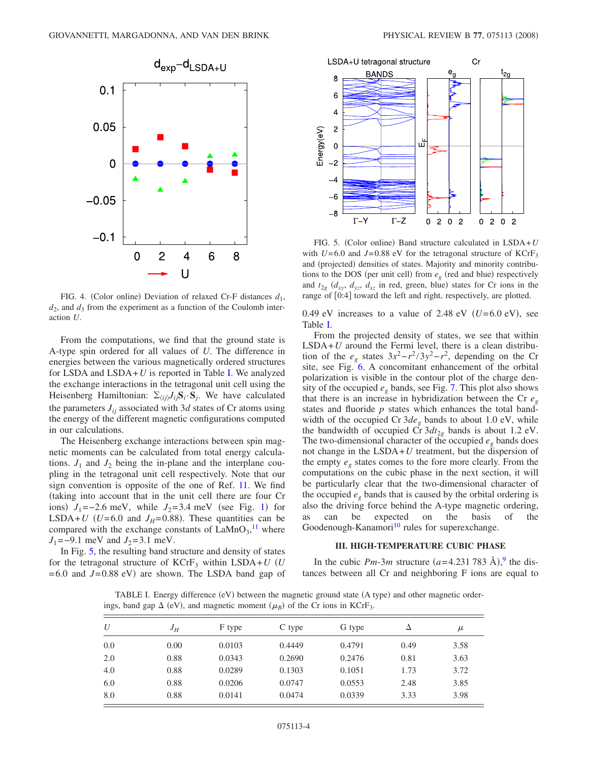<span id="page-3-0"></span>![](_page_3_Figure_1.jpeg)

FIG. 4. (Color online) Deviation of relaxed Cr-F distances  $d_1$ ,  $d_2$ , and  $d_3$  from the experiment as a function of the Coulomb interaction *U*.

From the computations, we find that the ground state is A-type spin ordered for all values of *U*. The difference in energies between the various magnetically ordered structures for LSDA and LSDA+*U* is reported in Table [I.](#page-3-1) We analyzed the exchange interactions in the tetragonal unit cell using the Heisenberg Hamiltonian:  $\Sigma_{\langle ij \rangle} J_{ij} S_i \cdot S_j$ . We have calculated the parameters  $J_{ii}$  associated with 3*d* states of Cr atoms using the energy of the different magnetic configurations computed in our calculations.

The Heisenberg exchange interactions between spin magnetic moments can be calculated from total energy calculations.  $J_1$  and  $J_2$  being the in-plane and the interplane coupling in the tetragonal unit cell respectively. Note that our sign convention is opposite of the one of Ref. [11.](#page-6-21) We find taking into account that in the unit cell there are four Cr ions)  $J_1$  $J_1$ =−2.6 meV, while  $J_2$ =3.4 meV (see Fig. 1) for LSDA+*U* ( $U=6.0$  and  $J_H=0.88$ ). These quantities can be compared with the exchange constants of  $\text{LaMnO}_3$ ,<sup>[11](#page-6-21)</sup> where  $J_1$ =−9.1 meV and  $J_2$ =3.1 meV.

<span id="page-3-1"></span>In Fig. [5,](#page-3-2) the resulting band structure and density of states for the tetragonal structure of  $KCF_3$  within  $LSDA+U$  *(U)*  $= 6.0$  and  $J = 0.88$  eV) are shown. The LSDA band gap of

<span id="page-3-2"></span>![](_page_3_Figure_7.jpeg)

FIG. 5. (Color online) Band structure calculated in LSDA+*U* with  $U=6.0$  and  $J=0.88$  eV for the tetragonal structure of KCrF<sub>3</sub> and (projected) densities of states. Majority and minority contributions to the DOS (per unit cell) from  $e_g$  (red and blue) respectively and  $t_{2g}$  ( $d_{xy}$ ,  $d_{yz}$ ,  $d_{xz}$  in red, green, blue) states for Cr ions in the range of [0:4] toward the left and right, respectively, are plotted.

0.49 eV increases to a value of 2.48 eV  $(U=6.0 \text{ eV})$ , see Table [I.](#page-3-1)

From the projected density of states, we see that within  $LSDA+U$  around the Fermi level, there is a clean distribution of the  $e_g$  states  $3x^2 - r^2/3y^2 - r^2$ , depending on the Cr site, see Fig. [6.](#page-4-0) A concomitant enhancement of the orbital polarization is visible in the contour plot of the charge density of the occupied  $e_{\varphi}$  bands, see Fig. [7.](#page-4-1) This plot also shows that there is an increase in hybridization between the Cr *eg* states and fluoride *p* states which enhances the total bandwidth of the occupied Cr  $3de_g$  bands to about 1.0 eV, while the bandwidth of occupied Cr  $3dt_{2g}$  bands is about 1.2 eV. The two-dimensional character of the occupied  $e<sub>o</sub>$  bands does not change in the LSDA+*U* treatment, but the dispersion of the empty  $e_{\varrho}$  states comes to the fore more clearly. From the computations on the cubic phase in the next section, it will be particularly clear that the two-dimensional character of the occupied  $e_{\rho}$  bands that is caused by the orbital ordering is also the driving force behind the A-type magnetic ordering, as can be expected on the basis of the Goodenough-Kanamori<sup>10</sup> rules for superexchange.

### **III. HIGH-TEMPERATURE CUBIC PHASE**

In the cubic *Pm*-3*m* structure  $(a=4.231\,783\,\text{\AA})$ ,<sup>[9](#page-6-8)</sup> the distances between all Cr and neighboring F ions are equal to

TABLE I. Energy difference (eV) between the magnetic ground state (A type) and other magnetic orderings, band gap  $\Delta$  (eV), and magnetic moment  $(\mu_B)$  of the Cr ions in KCrF<sub>3</sub>.

| U   | $J_H$ | F type | C type | G type | Δ    | $\mu$ |
|-----|-------|--------|--------|--------|------|-------|
| 0.0 | 0.00  | 0.0103 | 0.4449 | 0.4791 | 0.49 | 3.58  |
| 2.0 | 0.88  | 0.0343 | 0.2690 | 0.2476 | 0.81 | 3.63  |
| 4.0 | 0.88  | 0.0289 | 0.1303 | 0.1051 | 1.73 | 3.72  |
| 6.0 | 0.88  | 0.0206 | 0.0747 | 0.0553 | 2.48 | 3.85  |
| 8.0 | 0.88  | 0.0141 | 0.0474 | 0.0339 | 3.33 | 3.98  |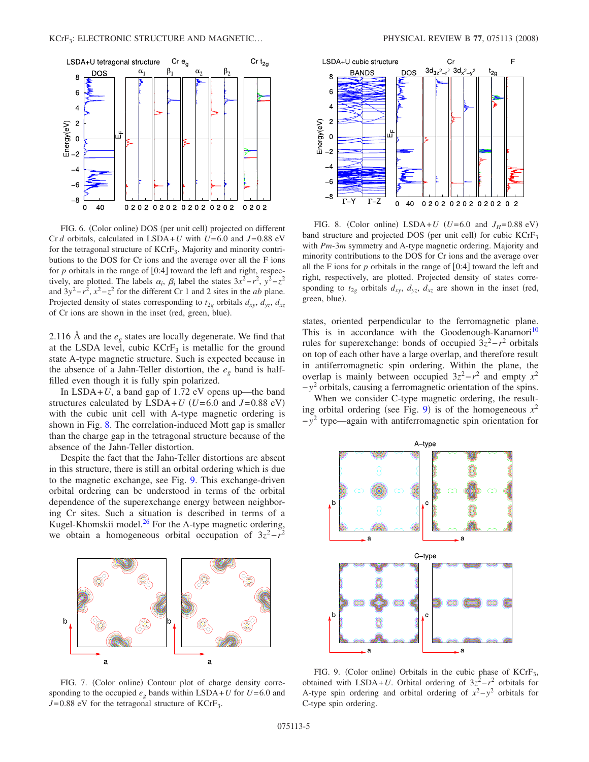<span id="page-4-0"></span>![](_page_4_Figure_1.jpeg)

FIG. 6. (Color online) DOS (per unit cell) projected on different Cr *d* orbitals, calculated in LSDA+*U* with  $U=6.0$  and  $J=0.88$  eV for the tetragonal structure of KCrF<sub>3</sub>. Majority and minority contributions to the DOS for Cr ions and the average over all the F ions for  $p$  orbitals in the range of  $[0:4]$  toward the left and right, respectively, are plotted. The labels  $\alpha_i$ ,  $\beta_i$  label the states  $3x^2 - r^2$ ,  $y^2 - z^2$ and  $3y^2 - r^2$ ,  $x^2 - z^2$  for the different Cr 1 and 2 sites in the *ab* plane. Projected density of states corresponding to  $t_{2g}$  orbitals  $d_{xy}$ ,  $d_{yz}$ ,  $d_{xz}$ of Cr ions are shown in the inset (red, green, blue).

2.116  $\AA$  and the  $e_{\varrho}$  states are locally degenerate. We find that at the LSDA level, cubic  $KCFF<sub>3</sub>$  is metallic for the ground state A-type magnetic structure. Such is expected because in the absence of a Jahn-Teller distortion, the  $e<sub>g</sub>$  band is halffilled even though it is fully spin polarized.

In  $LSDA+U$ , a band gap of 1.72 eV opens up—the band structures calculated by  $LSDA+U$  ( $U=6.0$  and  $J=0.88$  eV) with the cubic unit cell with A-type magnetic ordering is shown in Fig. [8.](#page-4-2) The correlation-induced Mott gap is smaller than the charge gap in the tetragonal structure because of the absence of the Jahn-Teller distortion.

Despite the fact that the Jahn-Teller distortions are absent in this structure, there is still an orbital ordering which is due to the magnetic exchange, see Fig. [9.](#page-4-3) This exchange-driven orbital ordering can be understood in terms of the orbital dependence of the superexchange energy between neighboring Cr sites. Such a situation is described in terms of a Kugel-Khomskii model. $^{26}$  For the A-type magnetic ordering, we obtain a homogeneous orbital occupation of  $3z^2 - r^2$ 

<span id="page-4-1"></span>![](_page_4_Figure_6.jpeg)

FIG. 7. (Color online) Contour plot of charge density corresponding to the occupied  $e_g$  bands within LSDA+*U* for  $U=6.0$  and  $J=0.88$  eV for the tetragonal structure of KCrF<sub>3</sub>.

<span id="page-4-2"></span>![](_page_4_Figure_9.jpeg)

FIG. 8. (Color online) LSDA+ $U$  ( $U=6.0$  and  $J_H=0.88$  eV) band structure and projected DOS (per unit cell) for cubic KCrF<sub>3</sub> with *Pm*-3*m* symmetry and A-type magnetic ordering. Majority and minority contributions to the DOS for Cr ions and the average over all the F ions for  $p$  orbitals in the range of  $[0:4]$  toward the left and right, respectively, are plotted. Projected density of states corresponding to  $t_{2g}$  orbitals  $d_{xy}$ ,  $d_{yz}$ ,  $d_{xz}$  are shown in the inset (red, green, blue).

states, oriented perpendicular to the ferromagnetic plane. This is in accordance with the Goodenough-Kanamori<sup>10</sup> rules for superexchange: bonds of occupied  $3z^2 - r^2$  orbitals on top of each other have a large overlap, and therefore result in antiferromagnetic spin ordering. Within the plane, the overlap is mainly between occupied  $3z^2 - r^2$  and empty  $x^2$ −*y*<sup>2</sup> orbitals, causing a ferromagnetic orientation of the spins.

When we consider C-type magnetic ordering, the result-ing orbital ordering (see Fig. [9](#page-4-3)) is of the homogeneous  $x^2$ −*y*<sup>2</sup> type—again with antiferromagnetic spin orientation for

<span id="page-4-3"></span>![](_page_4_Figure_13.jpeg)

FIG. 9. (Color online) Orbitals in the cubic phase of  $KCF_3$ , obtained with LSDA+*U*. Orbital ordering of 3*z*2−*r*<sup>2</sup> orbitals for A-type spin ordering and orbital ordering of  $x^2 - y^2$  orbitals for C-type spin ordering.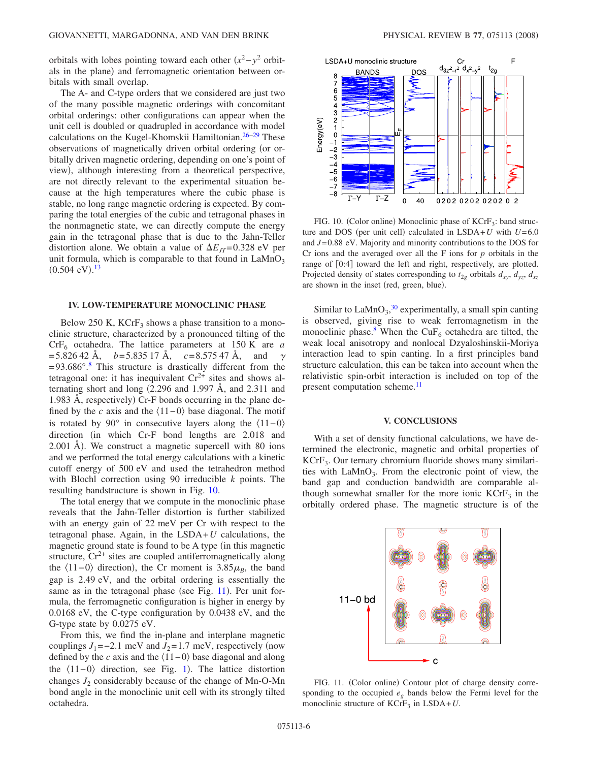orbitals with lobes pointing toward each other  $(x^2 - y^2)$  orbitals in the plane) and ferromagnetic orientation between orbitals with small overlap.

The A- and C-type orders that we considered are just two of the many possible magnetic orderings with concomitant orbital orderings: other configurations can appear when the unit cell is doubled or quadrupled in accordance with model calculations on the Kugel-Khomskii Hamiltonian.<sup>26-29</sup> These observations of magnetically driven orbital ordering (or orbitally driven magnetic ordering, depending on one's point of view), although interesting from a theoretical perspective, are not directly relevant to the experimental situation because at the high temperatures where the cubic phase is stable, no long range magnetic ordering is expected. By comparing the total energies of the cubic and tetragonal phases in the nonmagnetic state, we can directly compute the energy gain in the tetragonal phase that is due to the Jahn-Teller distortion alone. We obtain a value of  $\Delta E_{IT}$ =0.328 eV per unit formula, which is comparable to that found in  $LaMnO<sub>3</sub>$  $(0.504 \text{ eV})$ .<sup>[13](#page-6-10)</sup>

#### **IV. LOW-TEMPERATURE MONOCLINIC PHASE**

Below 250 K,  $KCrF<sub>3</sub>$  shows a phase transition to a monoclinic structure, characterized by a pronounced tilting of the  $CrF_6$  octahedra. The lattice parameters at 150 K are *a*  $= 5.826$  42 Å,  $b = 5.835$  17 Å,  $c = 8.575$  47 Å, and  $\gamma$  $= 93.686^{\circ}$ .<sup>8</sup> This structure is drastically different from the tetragonal one: it has inequivalent  $Cr^{2+}$  sites and shows alternating short and long  $(2.296$  and  $1.997$  Å, and  $2.311$  and 1.983 Å, respectively) Cr-F bonds occurring in the plane defined by the *c* axis and the  $\langle 11-0 \rangle$  base diagonal. The motif is rotated by 90° in consecutive layers along the  $\langle 11-0 \rangle$ direction (in which Cr-F bond lengths are 2.018 and 2.001 Å). We construct a magnetic supercell with 80 ions and we performed the total energy calculations with a kinetic cutoff energy of 500 eV and used the tetrahedron method with Blochl correction using 90 irreducible *k* points. The resulting bandstructure is shown in Fig. [10.](#page-5-0)

The total energy that we compute in the monoclinic phase reveals that the Jahn-Teller distortion is further stabilized with an energy gain of 22 meV per Cr with respect to the tetragonal phase. Again, in the LSDA+*U* calculations, the magnetic ground state is found to be A type (in this magnetic structure,  $Cr^{2+}$  sites are coupled antiferromagnetically along the  $\langle 11-0 \rangle$  direction), the Cr moment is 3.85 $\mu_B$ , the band gap is 2.49 eV, and the orbital ordering is essentially the same as in the tetragonal phase (see Fig. [11](#page-5-1)). Per unit formula, the ferromagnetic configuration is higher in energy by 0.0168 eV, the C-type configuration by 0.0438 eV, and the G-type state by 0.0275 eV.

From this, we find the in-plane and interplane magnetic couplings  $J_1$ =−2.1 meV and  $J_2$ =1.7 meV, respectively (now defined by the *c* axis and the  $\langle 11-\theta \rangle$  base diagonal and along the  $\langle 11-0 \rangle$  $\langle 11-0 \rangle$  $\langle 11-0 \rangle$  direction, see Fig. 1). The lattice distortion changes  $J_2$  considerably because of the change of Mn-O-Mn bond angle in the monoclinic unit cell with its strongly tilted octahedra.

<span id="page-5-0"></span>![](_page_5_Figure_8.jpeg)

FIG. 10. (Color online) Monoclinic phase of KCrF<sub>3</sub>: band structure and DOS (per unit cell) calculated in  $LSDA+U$  with  $U=6.0$ and *J*= 0.88 eV. Majority and minority contributions to the DOS for Cr ions and the averaged over all the F ions for *p* orbitals in the range of [0:4] toward the left and right, respectively, are plotted. Projected density of states corresponding to  $t_{2g}$  orbitals  $d_{xy}$ ,  $d_{yz}$ ,  $d_{xz}$ are shown in the inset (red, green, blue).

Similar to  $\text{LaMnO}_3$ , <sup>[30](#page-6-24)</sup> experimentally, a small spin canting is observed, giving rise to weak ferromagnetism in the monoclinic phase.<sup>8</sup> When the CuF<sub>6</sub> octahedra are tilted, the weak local anisotropy and nonlocal Dzyaloshinskii-Moriya interaction lead to spin canting. In a first principles band structure calculation, this can be taken into account when the relativistic spin-orbit interaction is included on top of the present computation scheme.<sup>11</sup>

#### **V. CONCLUSIONS**

With a set of density functional calculations, we have determined the electronic, magnetic and orbital properties of KCrF3. Our ternary chromium fluoride shows many similarities with  $LaMnO<sub>3</sub>$ . From the electronic point of view, the band gap and conduction bandwidth are comparable although somewhat smaller for the more ionic  $KCF<sub>3</sub>$  in the orbitally ordered phase. The magnetic structure is of the

<span id="page-5-1"></span>![](_page_5_Figure_13.jpeg)

FIG. 11. (Color online) Contour plot of charge density corresponding to the occupied  $e_g$  bands below the Fermi level for the monoclinic structure of  $KCrF_3$  in  $LSDA+U$ .